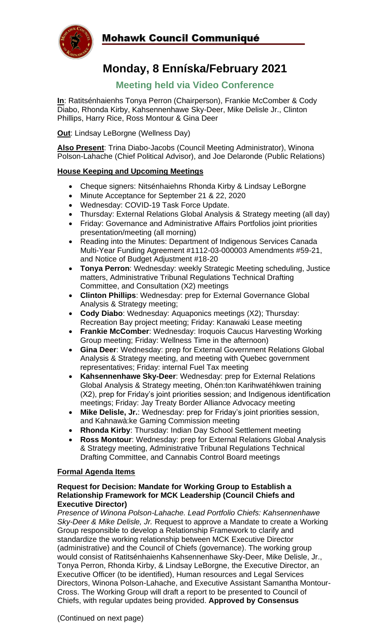

## Mohawk Council Communiqué

# **Monday, 8 Enníska/February 2021**

### **Meeting held via Video Conference**

**In**: Ratitsénhaienhs Tonya Perron (Chairperson), Frankie McComber & Cody Diabo, Rhonda Kirby, Kahsennenhawe Sky-Deer, Mike Delisle Jr., Clinton Phillips, Harry Rice, Ross Montour & Gina Deer

**Out**: Lindsay LeBorgne (Wellness Day)

**Also Present**: Trina Diabo-Jacobs (Council Meeting Administrator), Winona Polson-Lahache (Chief Political Advisor), and Joe Delaronde (Public Relations)

#### **House Keeping and Upcoming Meetings**

- Cheque signers: Nitsénhaiehns Rhonda Kirby & Lindsay LeBorgne
- Minute Acceptance for September 21 & 22, 2020
- Wednesday: COVID-19 Task Force Update.
- Thursday: External Relations Global Analysis & Strategy meeting (all day)
- Friday: Governance and Administrative Affairs Portfolios joint priorities presentation/meeting (all morning)
- Reading into the Minutes: Department of Indigenous Services Canada Multi-Year Funding Agreement #1112-03-000003 Amendments #59-21, and Notice of Budget Adjustment #18-20
- **Tonya Perron**: Wednesday: weekly Strategic Meeting scheduling, Justice matters, Administrative Tribunal Regulations Technical Drafting Committee, and Consultation (X2) meetings
- **Clinton Phillips**: Wednesday: prep for External Governance Global Analysis & Strategy meeting;
- **Cody Diabo**: Wednesday: Aquaponics meetings (X2); Thursday: Recreation Bay project meeting; Friday: Kanawaki Lease meeting
- **Frankie McComber**: Wednesday: Iroquois Caucus Harvesting Working Group meeting; Friday: Wellness Time in the afternoon)
- **Gina Deer**: Wednesday: prep for External Government Relations Global Analysis & Strategy meeting, and meeting with Quebec government representatives; Friday: internal Fuel Tax meeting
- **Kahsennenhawe Sky-Deer**: Wednesday: prep for External Relations Global Analysis & Strategy meeting, Ohén:ton Karihwatéhkwen training (X2), prep for Friday's joint priorities session; and Indigenous identification meetings; Friday: Jay Treaty Border Alliance Advocacy meeting
- **Mike Delisle, Jr.**: Wednesday: prep for Friday's joint priorities session, and Kahnawà:ke Gaming Commission meeting
- **Rhonda Kirby**: Thursday: Indian Day School Settlement meeting
- **Ross Montour**: Wednesday: prep for External Relations Global Analysis & Strategy meeting, Administrative Tribunal Regulations Technical Drafting Committee, and Cannabis Control Board meetings

#### **Formal Agenda Items**

#### **Request for Decision: Mandate for Working Group to Establish a Relationship Framework for MCK Leadership (Council Chiefs and Executive Director)**

*Presence of Winona Polson-Lahache. Lead Portfolio Chiefs: Kahsennenhawe Sky-Deer & Mike Delisle, Jr.* Request to approve a Mandate to create a Working Group responsible to develop a Relationship Framework to clarify and standardize the working relationship between MCK Executive Director (administrative) and the Council of Chiefs (governance). The working group would consist of Ratitsénhaienhs Kahsennenhawe Sky-Deer, Mike Delisle, Jr., Tonya Perron, Rhonda Kirby, & Lindsay LeBorgne, the Executive Director, an Executive Officer (to be identified), Human resources and Legal Services Directors, Winona Polson-Lahache, and Executive Assistant Samantha Montour-Cross. The Working Group will draft a report to be presented to Council of Chiefs, with regular updates being provided. **Approved by Consensus**